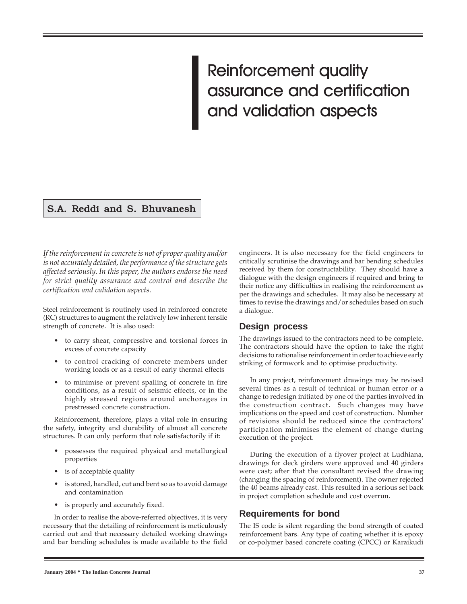# Reinforcement quality assurance and certification and validation aspects

## S.A. Reddi and S. Bhuvanesh

If the reinforcement in concrete is not of proper quality and/or is not accurately detailed, the performance of the structure gets affected seriously. In this paper, the authors endorse the need for strict quality assurance and control and describe the certification and validation aspects.

Steel reinforcement is routinely used in reinforced concrete (RC) structures to augment the relatively low inherent tensile strength of concrete. It is also used:

- to carry shear, compressive and torsional forces in excess of concrete capacity
- to control cracking of concrete members under working loads or as a result of early thermal effects
- to minimise or prevent spalling of concrete in fire conditions, as a result of seismic effects, or in the highly stressed regions around anchorages in prestressed concrete construction.

Reinforcement, therefore, plays a vital role in ensuring the safety, integrity and durability of almost all concrete structures. It can only perform that role satisfactorily if it:

- possesses the required physical and metallurgical properties
- is of acceptable quality
- is stored, handled, cut and bent so as to avoid damage and contamination
- is properly and accurately fixed.

In order to realise the above-referred objectives, it is very necessary that the detailing of reinforcement is meticulously carried out and that necessary detailed working drawings and bar bending schedules is made available to the field

engineers. It is also necessary for the field engineers to critically scrutinise the drawings and bar bending schedules received by them for constructability. They should have a dialogue with the design engineers if required and bring to their notice any difficulties in realising the reinforcement as per the drawings and schedules. It may also be necessary at times to revise the drawings and/or schedules based on such a dialogue.

#### **Design process**

The drawings issued to the contractors need to be complete. The contractors should have the option to take the right decisions to rationalise reinforcement in order to achieve early striking of formwork and to optimise productivity.

In any project, reinforcement drawings may be revised several times as a result of technical or human error or a change to redesign initiated by one of the parties involved in the construction contract. Such changes may have implications on the speed and cost of construction. Number of revisions should be reduced since the contractors' participation minimises the element of change during execution of the project.

During the execution of a flyover project at Ludhiana, drawings for deck girders were approved and 40 girders were cast; after that the consultant revised the drawing (changing the spacing of reinforcement). The owner rejected the 40 beams already cast. This resulted in a serious set back in project completion schedule and cost overrun.

## **Requirements for bond**

The IS code is silent regarding the bond strength of coated reinforcement bars. Any type of coating whether it is epoxy or co-polymer based concrete coating (CPCC) or Karaikudi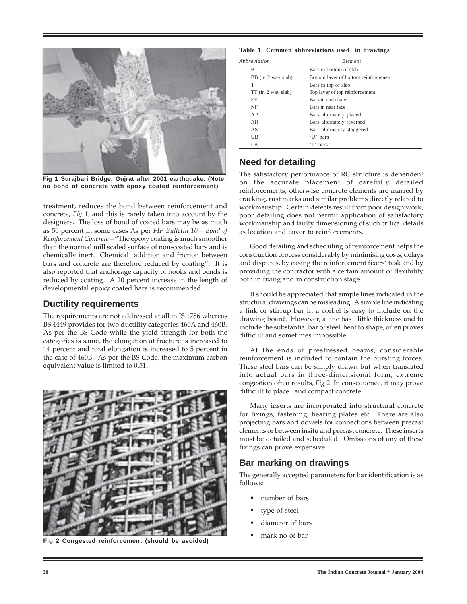

**Fig 1 Surajbari Bridge, Gujrat after 2001 earthquake. (Note: no bond of concrete with epoxy coated reinforcement)**

treatment, reduces the bond between reinforcement and concrete, Fig 1, and this is rarely taken into account by the designers. The loss of bond of coated bars may be as much as  $50$  percent in some cases As per FIP Bulletin  $10 - Bond$  of Reinforcement Concrete – "The epoxy coating is much smoother than the normal mill scaled surface of non-coated bars and is chemically inert. Chemical addition and friction between bars and concrete are therefore reduced by coating". It is also reported that anchorage capacity of hooks and bends is reduced by coating. A 20 percent increase in the length of developmental epoxy coated bars is recommended.

#### **Ductility requirements**

The requirements are not addressed at all in IS 1786 whereas BS 4449 provides for two ductility categories 460A and 460B. As per the BS Code while the yield strength for both the categories is same, the elongation at fracture is increased to 14 percent and total elongation is increased to 5 percent in the case of 460B. As per the BS Code, the maximum carbon equivalent value is limited to 0.51.



**Fig 2 Congested reinforcement (should be avoided)**

**Table 1: Common abbreviations used in drawings**

| Abbreviation       | Element                              |
|--------------------|--------------------------------------|
| B                  | Bars in bottom of slab               |
| BB (in 2 way slab) | Bottom layer of bottom reinforcement |
| T                  | Bars in top of slab                  |
| TT (in 2 way slab) | Top layer of top reinforcement       |
| EF                 | Bars in each face                    |
| NF                 | Bars in near face                    |
| A P                | Bars alternately placed              |
| AR                 | Bars alternately reversed            |
| AS                 | Bars alternately staggered           |
| UB                 | 'U' bars                             |
| LB                 | 'L'hars                              |

## **Need for detailing**

The satisfactory performance of RC structure is dependent on the accurate placement of carefully detailed reinforcements; otherwise concrete elements are marred by cracking, rust marks and similar problems directly related to workmanship. Certain defects result from poor design work, poor detailing does not permit application of satisfactory workmanship and faulty dimensioning of such critical details as location and cover to reinforcements.

Good detailing and scheduling of reinforcement helps the construction process considerably by minimising costs, delays and disputes, by easing the reinforcement fixers' task and by providing the contractor with a certain amount of flexibility both in fixing and in construction stage.

It should be appreciated that simple lines indicated in the structural drawings can be misleading. A simple line indicating a link or stirrup bar in a corbel is easy to include on the drawing board. However, a line has little thickness and to include the substantial bar of steel, bent to shape, often proves difficult and sometimes impossible.

At the ends of prestressed beams, considerable reinforcement is included to contain the bursting forces. These steel bars can be simply drawn but when translated into actual bars in three-dimensional form, extreme congestion often results, Fig 2. In consequence, it may prove difficult to place and compact concrete.

Many inserts are incorporated into structural concrete for fixings, fastening, bearing plates etc. There are also projecting bars and dowels for connections between precast elements or between insitu and precast concrete. These inserts must be detailed and scheduled. Omissions of any of these fixings can prove expensive.

## **Bar marking on drawings**

The generally accepted parameters for bar identification is as follows:

- number of bars
- type of steel
- diameter of bars
- mark no of bar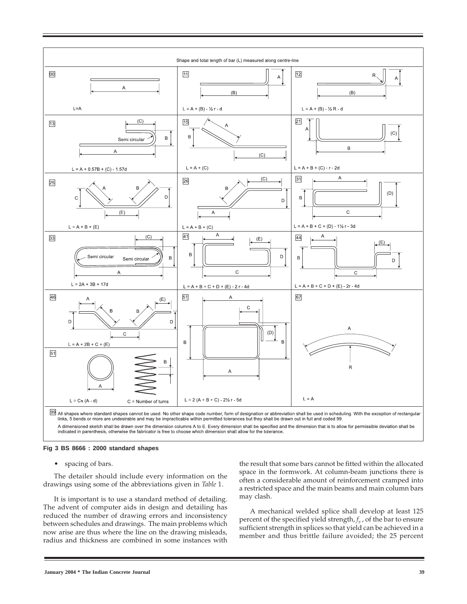

A dimensioned sketch shall be drawn over the dimension columns A to E. Every dimension shall be specified and the dimension that is to allow for permissible deviation shall be indicated in parenthesis, otherwise the fabric

#### **Fig 3 BS 8666 : 2000 standard shapes**

• spacing of bars.

The detailer should include every information on the drawings using some of the abbreviations given in Table 1.

It is important is to use a standard method of detailing. The advent of computer aids in design and detailing has reduced the number of drawing errors and inconsistency between schedules and drawings. The main problems which now arise are thus where the line on the drawing misleads, radius and thickness are combined in some instances with

the result that some bars cannot be fitted within the allocated space in the formwork. At column-beam junctions there is often a considerable amount of reinforcement cramped into a restricted space and the main beams and main column bars may clash.

A mechanical welded splice shall develop at least 125 percent of the specified yield strength, f*y* , of the bar to ensure sufficient strength in splices so that yield can be achieved in a member and thus brittle failure avoided; the 25 percent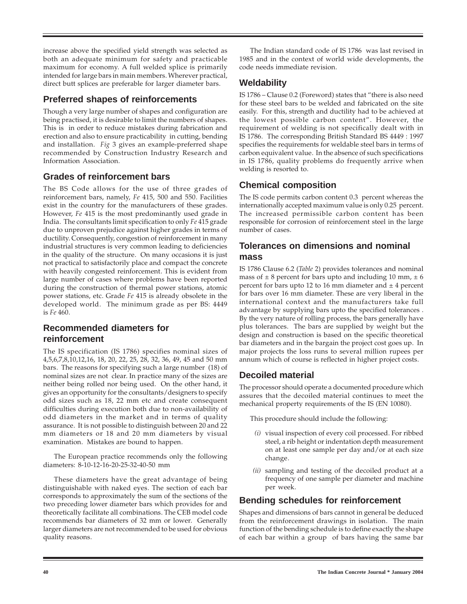increase above the specified yield strength was selected as both an adequate minimum for safety and practicable maximum for economy. A full welded splice is primarily intended for large bars in main members. Wherever practical, direct butt splices are preferable for larger diameter bars.

## **Preferred shapes of reinforcements**

Though a very large number of shapes and configuration are being practised, it is desirable to limit the numbers of shapes. This is in order to reduce mistakes during fabrication and erection and also to ensure practicability in cutting, bending and installation. Fig 3 gives an example-preferred shape recommended by Construction Industry Research and Information Association.

## **Grades of reinforcement bars**

The BS Code allows for the use of three grades of reinforcement bars, namely, Fe 415, 500 and 550. Facilities exist in the country for the manufacturers of these grades. However, Fe 415 is the most predominantly used grade in India. The consultants limit specification to only Fe 415 grade due to unproven prejudice against higher grades in terms of ductility. Consequently, congestion of reinforcement in many industrial structures is very common leading to deficiencies in the quality of the structure. On many occasions it is just not practical to satisfactorily place and compact the concrete with heavily congested reinforcement. This is evident from large number of cases where problems have been reported during the construction of thermal power stations, atomic power stations, etc. Grade Fe 415 is already obsolete in the developed world. The minimum grade as per BS: 4449 is Fe 460.

## **Recommended diameters for reinforcement**

The IS specification (IS 1786) specifies nominal sizes of 4,5,6,7,8,10,12,16, 18, 20, 22, 25, 28, 32, 36, 49, 45 and 50 mm bars. The reasons for specifying such a large number (18) of nominal sizes are not clear. In practice many of the sizes are neither being rolled nor being used. On the other hand, it gives an opportunity for the consultants/designers to specify odd sizes such as 18, 22 mm etc and create consequent difficulties during execution both due to non-availability of odd diameters in the market and in terms of quality assurance. It is not possible to distinguish between 20 and 22 mm diameters or 18 and 20 mm diameters by visual examination. Mistakes are bound to happen.

The European practice recommends only the following diameters: 8-10-12-16-20-25-32-40-50 mm

These diameters have the great advantage of being distinguishable with naked eyes. The section of each bar corresponds to approximately the sum of the sections of the two preceding lower diameter bars which provides for and theoretically facilitate all combinations. The CEB model code recommends bar diameters of 32 mm or lower. Generally larger diameters are not recommended to be used for obvious quality reasons.

The Indian standard code of IS 1786 was last revised in 1985 and in the context of world wide developments, the code needs immediate revision.

## **Weldability**

IS 1786 – Clause 0.2 (Foreword) states that "there is also need for these steel bars to be welded and fabricated on the site easily. For this, strength and ductility had to be achieved at the lowest possible carbon content". However, the requirement of welding is not specifically dealt with in IS 1786. The corresponding British Standard BS 4449 : 1997 specifies the requirements for weldable steel bars in terms of carbon equivalent value. In the absence of such specifications in IS 1786, quality problems do frequently arrive when welding is resorted to.

# **Chemical composition**

The IS code permits carbon content 0.3 percent whereas the internationally accepted maximum value is only 0.25 percent. The increased permissible carbon content has been responsible for corrosion of reinforcement steel in the large number of cases.

# **Tolerances on dimensions and nominal mass**

IS 1786 Clause 6.2 (Table 2) provides tolerances and nominal mass of  $\pm 8$  percent for bars upto and including 10 mm,  $\pm 6$ percent for bars upto 12 to 16 mm diameter and  $\pm$  4 percent for bars over 16 mm diameter. These are very liberal in the international context and the manufacturers take full advantage by supplying bars upto the specified tolerances . By the very nature of rolling process, the bars generally have plus tolerances. The bars are supplied by weight but the design and construction is based on the specific theoretical bar diameters and in the bargain the project cost goes up. In major projects the loss runs to several million rupees per annum which of course is reflected in higher project costs.

## **Decoiled material**

The processor should operate a documented procedure which assures that the decoiled material continues to meet the mechanical property requirements of the IS (EN 10080).

This procedure should include the following:

- (i) visual inspection of every coil processed. For ribbed steel, a rib height or indentation depth measurement on at least one sample per day and/or at each size change.
- (*ii*) sampling and testing of the decoiled product at a frequency of one sample per diameter and machine per week.

## **Bending schedules for reinforcement**

Shapes and dimensions of bars cannot in general be deduced from the reinforcement drawings in isolation. The main function of the bending schedule is to define exactly the shape of each bar within a group of bars having the same bar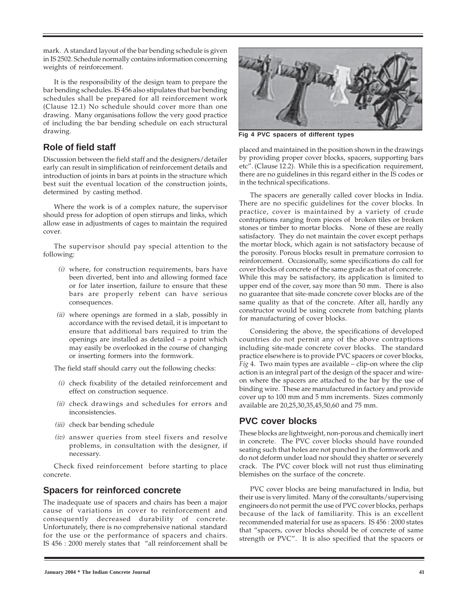mark. A standard layout of the bar bending schedule is given in IS 2502. Schedule normally contains information concerning weights of reinforcement.

It is the responsibility of the design team to prepare the bar bending schedules. IS 456 also stipulates that bar bending schedules shall be prepared for all reinforcement work (Clause 12.1) No schedule should cover more than one drawing. Many organisations follow the very good practice of including the bar bending schedule on each structural drawing.

## **Role of field staff**

Discussion between the field staff and the designers/detailer early can result in simplification of reinforcement details and introduction of joints in bars at points in the structure which best suit the eventual location of the construction joints, determined by casting method.

Where the work is of a complex nature, the supervisor should press for adoption of open stirrups and links, which allow ease in adjustments of cages to maintain the required cover.

The supervisor should pay special attention to the following:

- (i) where, for construction requirements, bars have been diverted, bent into and allowing formed face or for later insertion, failure to ensure that these bars are properly rebent can have serious consequences.
- (ii) where openings are formed in a slab, possibly in accordance with the revised detail, it is important to ensure that additional bars required to trim the openings are installed as detailed – a point which may easily be overlooked in the course of changing or inserting formers into the formwork.

The field staff should carry out the following checks:

- (i) check fixability of the detailed reinforcement and effect on construction sequence.
- (ii) check drawings and schedules for errors and inconsistencies.
- (iii) check bar bending schedule
- (iv) answer queries from steel fixers and resolve problems, in consultation with the designer, if necessary.

Check fixed reinforcement before starting to place concrete.

#### **Spacers for reinforced concrete**

The inadequate use of spacers and chairs has been a major cause of variations in cover to reinforcement and consequently decreased durability of concrete. Unfortunately, there is no comprehensive national standard for the use or the performance of spacers and chairs. IS 456 : 2000 merely states that "all reinforcement shall be



**Fig 4 PVC spacers of different types**

placed and maintained in the position shown in the drawings by providing proper cover blocks, spacers, supporting bars etc". (Clause 12.2). While this is a specification requirement, there are no guidelines in this regard either in the IS codes or in the technical specifications.

The spacers are generally called cover blocks in India. There are no specific guidelines for the cover blocks. In practice, cover is maintained by a variety of crude contraptions ranging from pieces of broken tiles or broken stones or timber to mortar blocks. None of these are really satisfactory. They do not maintain the cover except perhaps the mortar block, which again is not satisfactory because of the porosity. Porous blocks result in premature corrosion to reinforcement. Occasionally, some specifications do call for cover blocks of concrete of the same grade as that of concrete. While this may be satisfactory, its application is limited to upper end of the cover, say more than 50 mm. There is also no guarantee that site-made concrete cover blocks are of the same quality as that of the concrete. After all, hardly any constructor would be using concrete from batching plants for manufacturing of cover blocks.

Considering the above, the specifications of developed countries do not permit any of the above contraptions including site-made concrete cover blocks. The standard practice elsewhere is to provide PVC spacers or cover blocks, *Fig* 4. Two main types are available – clip-on where the clip action is an integral part of the design of the spacer and wireon where the spacers are attached to the bar by the use of binding wire. These are manufactured in factory and provide cover up to 100 mm and 5 mm increments. Sizes commonly available are 20,25,30,35,45,50,60 and 75 mm.

## **PVC cover blocks**

These blocks are lightweight, non-porous and chemically inert in concrete. The PVC cover blocks should have rounded seating such that holes are not punched in the formwork and do not deform under load nor should they shatter or severely crack. The PVC cover block will not rust thus eliminating blemishes on the surface of the concrete.

PVC cover blocks are being manufactured in India, but their use is very limited. Many of the consultants/supervising engineers do not permit the use of PVC cover blocks, perhaps because of the lack of familiarity. This is an excellent recommended material for use as spacers. IS 456 : 2000 states that "spacers, cover blocks should be of concrete of same strength or PVC". It is also specified that the spacers or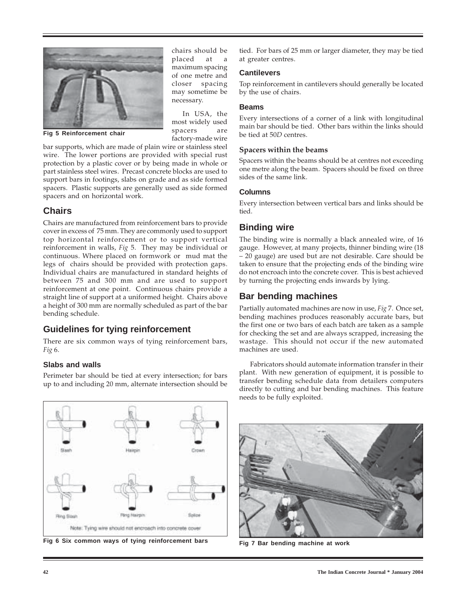

**Fig 5 Reinforcement chair**

chairs should be placed at a maximum spacing of one metre and closer spacing may sometime be necessary.

In USA, the most widely used spacers are factory-made wire

bar supports, which are made of plain wire or stainless steel wire. The lower portions are provided with special rust protection by a plastic cover or by being made in whole or part stainless steel wires. Precast concrete blocks are used to support bars in footings, slabs on grade and as side formed spacers. Plastic supports are generally used as side formed spacers and on horizontal work.

## **Chairs**

Chairs are manufactured from reinforcement bars to provide cover in excess of 75 mm. They are commonly used to support top horizontal reinforcement or to support vertical reinforcement in walls, Fig 5. They may be individual or continuous. Where placed on formwork or mud mat the legs of chairs should be provided with protection gaps. Individual chairs are manufactured in standard heights of between 75 and 300 mm and are used to support reinforcement at one point. Continuous chairs provide a straight line of support at a uniformed height. Chairs above a height of 300 mm are normally scheduled as part of the bar bending schedule.

## **Guidelines for tying reinforcement**

There are six common ways of tying reinforcement bars, Fig 6.

## **Slabs and walls**

Perimeter bar should be tied at every intersection; for bars up to and including 20 mm, alternate intersection should be tied. For bars of 25 mm or larger diameter, they may be tied at greater centres.

#### **Cantilevers**

Top reinforcement in cantilevers should generally be located by the use of chairs.

#### **Beams**

Every intersections of a corner of a link with longitudinal main bar should be tied. Other bars within the links should be tied at 50D centres.

#### Spacers within the beams

Spacers within the beams should be at centres not exceeding one metre along the beam. Spacers should be fixed on three sides of the same link.

#### **Columns**

Every intersection between vertical bars and links should be tied.

## **Binding wire**

The binding wire is normally a black annealed wire, of 16 gauge. However, at many projects, thinner binding wire (18 – 20 gauge) are used but are not desirable. Care should be taken to ensure that the projecting ends of the binding wire do not encroach into the concrete cover. This is best achieved by turning the projecting ends inwards by lying.

# **Bar bending machines**

Partially automated machines are now in use, Fig 7. Once set, bending machines produces reasonably accurate bars, but the first one or two bars of each batch are taken as a sample for checking the set and are always scrapped, increasing the wastage. This should not occur if the new automated machines are used.

Fabricators should automate information transfer in their plant. With new generation of equipment, it is possible to transfer bending schedule data from detailers computers directly to cutting and bar bending machines. This feature needs to be fully exploited.



**Fig 6 Six common ways of tying reinforcement bars Fig 7 Bar bending machine at work**

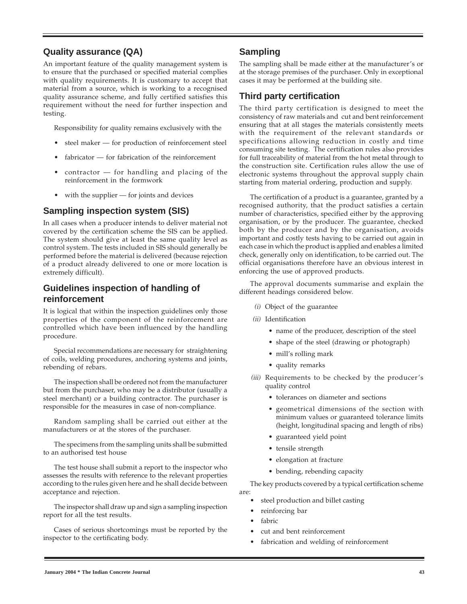## **Quality assurance (QA)**

An important feature of the quality management system is to ensure that the purchased or specified material complies with quality requirements. It is customary to accept that material from a source, which is working to a recognised quality assurance scheme, and fully certified satisfies this requirement without the need for further inspection and testing.

Responsibility for quality remains exclusively with the

- steel maker for production of reinforcement steel
- fabricator for fabrication of the reinforcement
- $contractor$  for handling and placing of the reinforcement in the formwork
- with the supplier  $-$  for joints and devices

## **Sampling inspection system (SIS)**

In all cases when a producer intends to deliver material not covered by the certification scheme the SIS can be applied. The system should give at least the same quality level as control system. The tests included in SIS should generally be performed before the material is delivered (because rejection of a product already delivered to one or more location is extremely difficult).

## **Guidelines inspection of handling of reinforcement**

It is logical that within the inspection guidelines only those properties of the component of the reinforcement are controlled which have been influenced by the handling procedure.

Special recommendations are necessary for straightening of coils, welding procedures, anchoring systems and joints, rebending of rebars.

The inspection shall be ordered not from the manufacturer but from the purchaser, who may be a distributor (usually a steel merchant) or a building contractor. The purchaser is responsible for the measures in case of non-compliance.

Random sampling shall be carried out either at the manufacturers or at the stores of the purchaser.

The specimens from the sampling units shall be submitted to an authorised test house

The test house shall submit a report to the inspector who assesses the results with reference to the relevant properties according to the rules given here and he shall decide between acceptance and rejection.

The inspector shall draw up and sign a sampling inspection report for all the test results.

Cases of serious shortcomings must be reported by the inspector to the certificating body.

## **Sampling**

The sampling shall be made either at the manufacturer's or at the storage premises of the purchaser. Only in exceptional cases it may be performed at the building site.

## **Third party certification**

The third party certification is designed to meet the consistency of raw materials and cut and bent reinforcement ensuring that at all stages the materials consistently meets with the requirement of the relevant standards or specifications allowing reduction in costly and time consuming site testing. The certification rules also provides for full traceability of material from the hot metal through to the construction site. Certification rules allow the use of electronic systems throughout the approval supply chain starting from material ordering, production and supply.

The certification of a product is a guarantee, granted by a recognised authority, that the product satisfies a certain number of characteristics, specified either by the approving organisation, or by the producer. The guarantee, checked both by the producer and by the organisation, avoids important and costly tests having to be carried out again in each case in which the product is applied and enables a limited check, generally only on identification, to be carried out. The official organisations therefore have an obvious interest in enforcing the use of approved products.

The approval documents summarise and explain the different headings considered below.

- (i) Object of the guarantee
- (ii) Identification
	- name of the producer, description of the steel
	- shape of the steel (drawing or photograph)
	- mill's rolling mark
	- quality remarks
- (iii) Requirements to be checked by the producer's quality control
	- tolerances on diameter and sections
	- geometrical dimensions of the section with minimum values or guaranteed tolerance limits (height, longitudinal spacing and length of ribs)
	- guaranteed yield point
	- tensile strength
	- elongation at fracture
	- bending, rebending capacity

The key products covered by a typical certification scheme are:

- steel production and billet casting
- reinforcing bar
- fabric
- cut and bent reinforcement
- fabrication and welding of reinforcement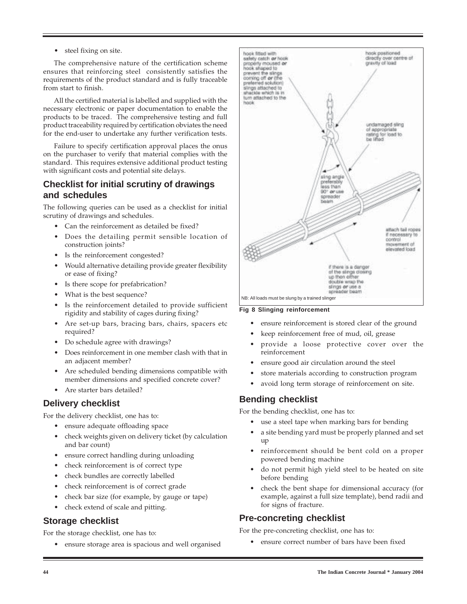• steel fixing on site.

The comprehensive nature of the certification scheme ensures that reinforcing steel consistently satisfies the requirements of the product standard and is fully traceable from start to finish.

All the certified material is labelled and supplied with the necessary electronic or paper documentation to enable the products to be traced. The comprehensive testing and full product traceability required by certification obviates the need for the end-user to undertake any further verification tests.

Failure to specify certification approval places the onus on the purchaser to verify that material complies with the standard. This requires extensive additional product testing with significant costs and potential site delays.

## **Checklist for initial scrutiny of drawings and schedules**

The following queries can be used as a checklist for initial scrutiny of drawings and schedules.

- Can the reinforcement as detailed be fixed?
- Does the detailing permit sensible location of construction joints?
- Is the reinforcement congested?
- Would alternative detailing provide greater flexibility or ease of fixing?
- Is there scope for prefabrication?
- What is the best sequence?
- Is the reinforcement detailed to provide sufficient rigidity and stability of cages during fixing?
- Are set-up bars, bracing bars, chairs, spacers etc required?
- Do schedule agree with drawings?
- Does reinforcement in one member clash with that in an adjacent member?
- Are scheduled bending dimensions compatible with member dimensions and specified concrete cover?
- Are starter bars detailed?

## **Delivery checklist**

For the delivery checklist, one has to:

- ensure adequate offloading space
- check weights given on delivery ticket (by calculation and bar count)
- ensure correct handling during unloading
- check reinforcement is of correct type
- check bundles are correctly labelled
- check reinforcement is of correct grade
- check bar size (for example, by gauge or tape)
- check extend of scale and pitting.

## **Storage checklist**

For the storage checklist, one has to:

• ensure storage area is spacious and well organised



#### **Fig 8 Slinging reinforcement**

- ensure reinforcement is stored clear of the ground
- keep reinforcement free of mud, oil, grease
- provide a loose protective cover over the reinforcement
- ensure good air circulation around the steel
- store materials according to construction program
- avoid long term storage of reinforcement on site.

## **Bending checklist**

For the bending checklist, one has to:

- use a steel tape when marking bars for bending
- a site bending yard must be properly planned and set up
- reinforcement should be bent cold on a proper powered bending machine
- do not permit high yield steel to be heated on site before bending
- check the bent shape for dimensional accuracy (for example, against a full size template), bend radii and for signs of fracture.

## **Pre-concreting checklist**

For the pre-concreting checklist, one has to:

• ensure correct number of bars have been fixed